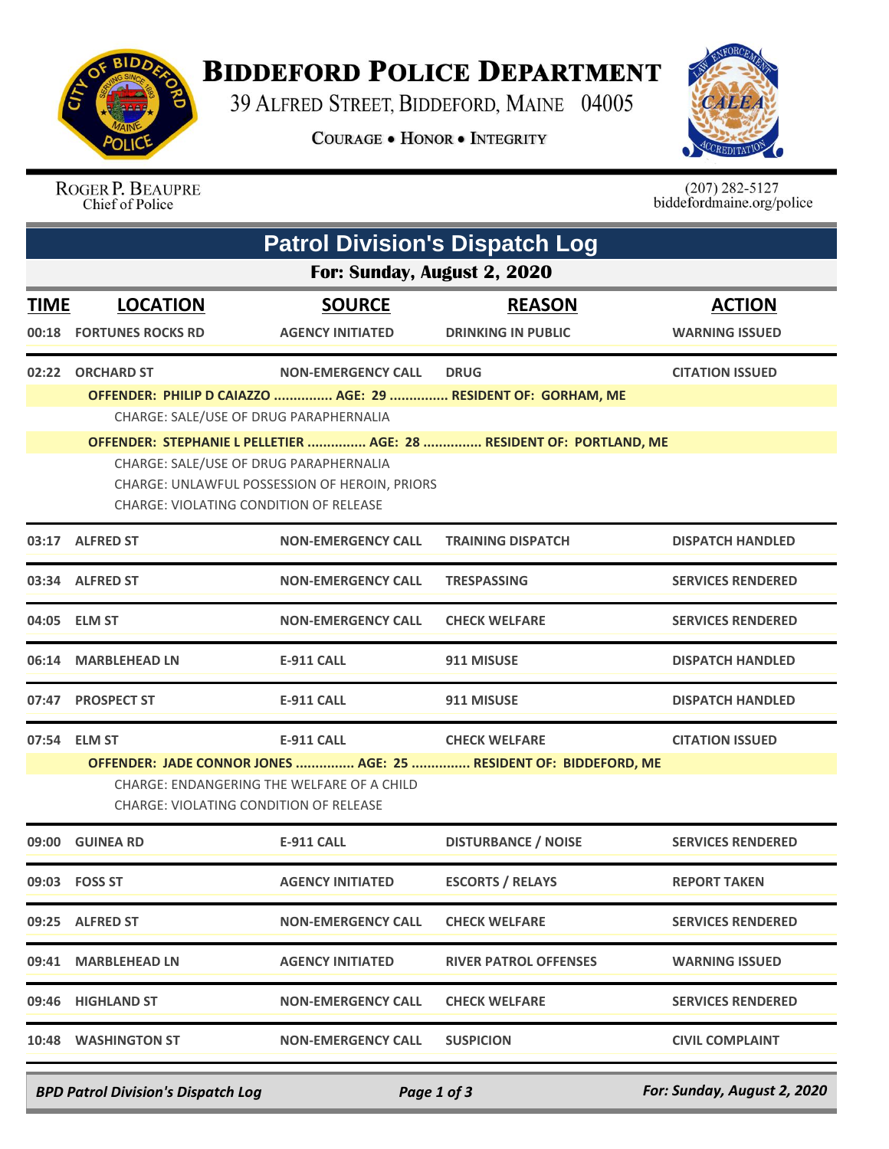

## **BIDDEFORD POLICE DEPARTMENT**

39 ALFRED STREET, BIDDEFORD, MAINE 04005

**COURAGE . HONOR . INTEGRITY** 



ROGER P. BEAUPRE Chief of Police

 $(207)$  282-5127<br>biddefordmaine.org/police

|             | <b>Patrol Division's Dispatch Log</b>                                                                                                                                                                           |                                        |                                                                  |                          |  |  |  |  |
|-------------|-----------------------------------------------------------------------------------------------------------------------------------------------------------------------------------------------------------------|----------------------------------------|------------------------------------------------------------------|--------------------------|--|--|--|--|
|             | For: Sunday, August 2, 2020                                                                                                                                                                                     |                                        |                                                                  |                          |  |  |  |  |
| <b>TIME</b> | <b>LOCATION</b>                                                                                                                                                                                                 | <b>SOURCE</b>                          | <b>REASON</b>                                                    | <b>ACTION</b>            |  |  |  |  |
| 00:18       | <b>FORTUNES ROCKS RD</b>                                                                                                                                                                                        | <b>AGENCY INITIATED</b>                | <b>DRINKING IN PUBLIC</b>                                        | <b>WARNING ISSUED</b>    |  |  |  |  |
|             | 02:22 ORCHARD ST                                                                                                                                                                                                | <b>NON-EMERGENCY CALL</b>              | <b>DRUG</b>                                                      | <b>CITATION ISSUED</b>   |  |  |  |  |
|             |                                                                                                                                                                                                                 |                                        | OFFENDER: PHILIP D CAIAZZO  AGE: 29  RESIDENT OF: GORHAM, ME     |                          |  |  |  |  |
|             |                                                                                                                                                                                                                 | CHARGE: SALE/USE OF DRUG PARAPHERNALIA |                                                                  |                          |  |  |  |  |
|             | OFFENDER: STEPHANIE L PELLETIER  AGE: 28  RESIDENT OF: PORTLAND, ME<br>CHARGE: SALE/USE OF DRUG PARAPHERNALIA<br>CHARGE: UNLAWFUL POSSESSION OF HEROIN, PRIORS<br><b>CHARGE: VIOLATING CONDITION OF RELEASE</b> |                                        |                                                                  |                          |  |  |  |  |
|             | 03:17 ALFRED ST                                                                                                                                                                                                 | <b>NON-EMERGENCY CALL</b>              | <b>TRAINING DISPATCH</b>                                         | <b>DISPATCH HANDLED</b>  |  |  |  |  |
|             | 03:34 ALFRED ST                                                                                                                                                                                                 | <b>NON-EMERGENCY CALL</b>              | <b>TRESPASSING</b>                                               | <b>SERVICES RENDERED</b> |  |  |  |  |
|             | 04:05 ELM ST                                                                                                                                                                                                    | <b>NON-EMERGENCY CALL</b>              | <b>CHECK WELFARE</b>                                             | <b>SERVICES RENDERED</b> |  |  |  |  |
| 06:14       | <b>MARBLEHEAD LN</b>                                                                                                                                                                                            | <b>E-911 CALL</b>                      | 911 MISUSE                                                       | <b>DISPATCH HANDLED</b>  |  |  |  |  |
|             | 07:47 PROSPECT ST                                                                                                                                                                                               | <b>E-911 CALL</b>                      | 911 MISUSE                                                       | <b>DISPATCH HANDLED</b>  |  |  |  |  |
|             | 07:54 ELM ST                                                                                                                                                                                                    | <b>E-911 CALL</b>                      | <b>CHECK WELFARE</b>                                             | <b>CITATION ISSUED</b>   |  |  |  |  |
|             |                                                                                                                                                                                                                 |                                        | OFFENDER: JADE CONNOR JONES  AGE: 25  RESIDENT OF: BIDDEFORD, ME |                          |  |  |  |  |
|             | CHARGE: ENDANGERING THE WELFARE OF A CHILD<br><b>CHARGE: VIOLATING CONDITION OF RELEASE</b>                                                                                                                     |                                        |                                                                  |                          |  |  |  |  |
|             | 09:00 GUINEA RD                                                                                                                                                                                                 | <b>E-911 CALL</b>                      | <b>DISTURBANCE / NOISE</b>                                       | <b>SERVICES RENDERED</b> |  |  |  |  |
|             | 09:03 FOSS ST                                                                                                                                                                                                   | <b>AGENCY INITIATED</b>                | <b>ESCORTS / RELAYS</b>                                          | <b>REPORT TAKEN</b>      |  |  |  |  |
|             | 09:25 ALFRED ST                                                                                                                                                                                                 | <b>NON-EMERGENCY CALL</b>              | <b>CHECK WELFARE</b>                                             | <b>SERVICES RENDERED</b> |  |  |  |  |
|             | 09:41 MARBLEHEAD LN                                                                                                                                                                                             | <b>AGENCY INITIATED</b>                | <b>RIVER PATROL OFFENSES</b>                                     | <b>WARNING ISSUED</b>    |  |  |  |  |
|             | 09:46 HIGHLAND ST                                                                                                                                                                                               | <b>NON-EMERGENCY CALL</b>              | <b>CHECK WELFARE</b>                                             | <b>SERVICES RENDERED</b> |  |  |  |  |
|             | 10:48 WASHINGTON ST                                                                                                                                                                                             | <b>NON-EMERGENCY CALL</b>              | <b>SUSPICION</b>                                                 | <b>CIVIL COMPLAINT</b>   |  |  |  |  |

*BPD Patrol Division's Dispatch Log Page 1 of 3 For: Sunday, August 2, 2020*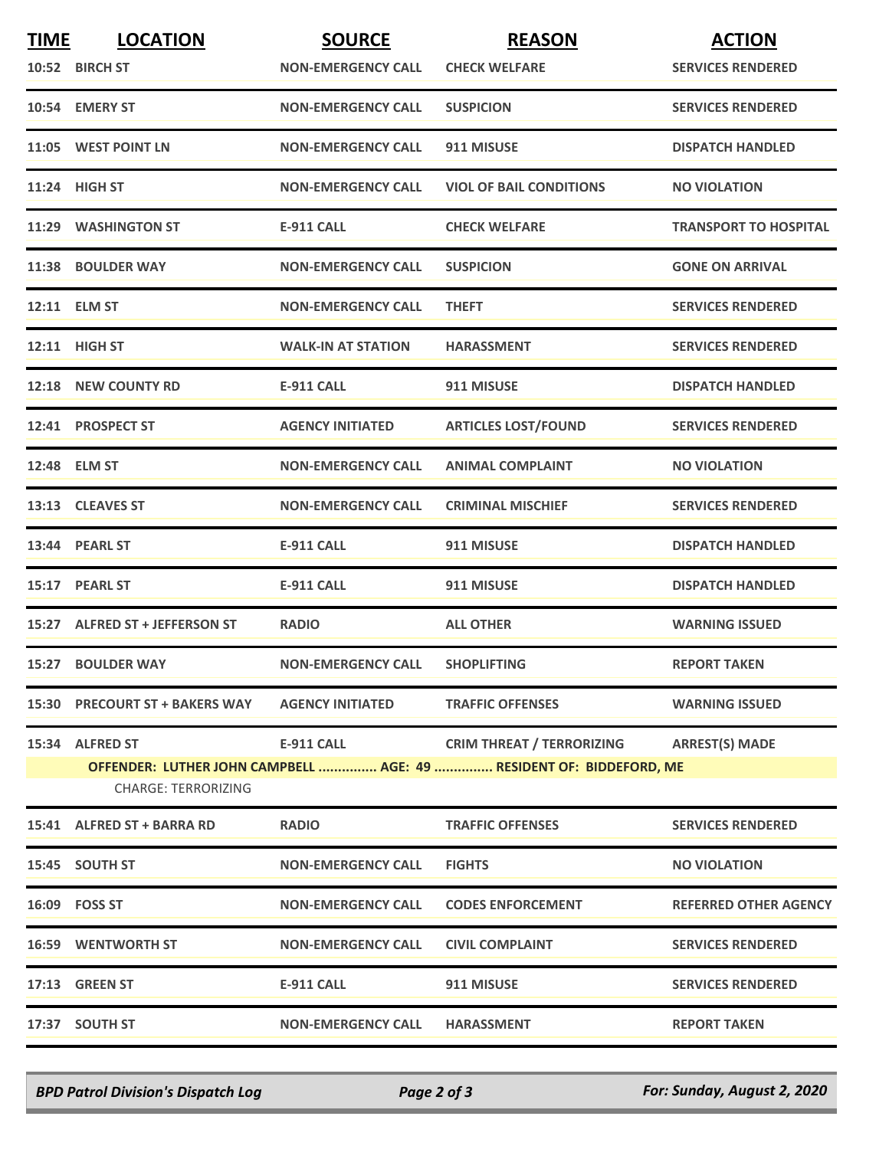| <b>TIME</b> | <b>LOCATION</b><br>10:52 BIRCH ST | <b>SOURCE</b><br><b>NON-EMERGENCY CALL</b> | <b>REASON</b><br><b>CHECK WELFARE</b>                               | <b>ACTION</b><br><b>SERVICES RENDERED</b> |
|-------------|-----------------------------------|--------------------------------------------|---------------------------------------------------------------------|-------------------------------------------|
|             |                                   |                                            |                                                                     |                                           |
|             | 10:54 EMERY ST                    | <b>NON-EMERGENCY CALL</b>                  | <b>SUSPICION</b>                                                    | <b>SERVICES RENDERED</b>                  |
|             | 11:05 WEST POINT LN               | <b>NON-EMERGENCY CALL</b>                  | 911 MISUSE                                                          | <b>DISPATCH HANDLED</b>                   |
|             | 11:24 HIGH ST                     | <b>NON-EMERGENCY CALL</b>                  | <b>VIOL OF BAIL CONDITIONS</b>                                      | <b>NO VIOLATION</b>                       |
|             | 11:29 WASHINGTON ST               | <b>E-911 CALL</b>                          | <b>CHECK WELFARE</b>                                                | <b>TRANSPORT TO HOSPITAL</b>              |
|             | 11:38 BOULDER WAY                 | <b>NON-EMERGENCY CALL</b>                  | <b>SUSPICION</b>                                                    | <b>GONE ON ARRIVAL</b>                    |
|             | 12:11 ELM ST                      | <b>NON-EMERGENCY CALL</b>                  | <b>THEFT</b>                                                        | <b>SERVICES RENDERED</b>                  |
|             | 12:11 HIGH ST                     | <b>WALK-IN AT STATION</b>                  | <b>HARASSMENT</b>                                                   | <b>SERVICES RENDERED</b>                  |
|             | 12:18 NEW COUNTY RD               | <b>E-911 CALL</b>                          | 911 MISUSE                                                          | <b>DISPATCH HANDLED</b>                   |
|             | 12:41 PROSPECT ST                 | <b>AGENCY INITIATED</b>                    | <b>ARTICLES LOST/FOUND</b>                                          | <b>SERVICES RENDERED</b>                  |
|             | 12:48 ELM ST                      | <b>NON-EMERGENCY CALL</b>                  | <b>ANIMAL COMPLAINT</b>                                             | <b>NO VIOLATION</b>                       |
|             | 13:13 CLEAVES ST                  | <b>NON-EMERGENCY CALL</b>                  | <b>CRIMINAL MISCHIEF</b>                                            | <b>SERVICES RENDERED</b>                  |
|             | 13:44 PEARL ST                    | <b>E-911 CALL</b>                          | 911 MISUSE                                                          | <b>DISPATCH HANDLED</b>                   |
|             | 15:17 PEARL ST                    | <b>E-911 CALL</b>                          | 911 MISUSE                                                          | <b>DISPATCH HANDLED</b>                   |
|             | 15:27 ALFRED ST + JEFFERSON ST    | <b>RADIO</b>                               | <b>ALL OTHER</b>                                                    | <b>WARNING ISSUED</b>                     |
|             | 15:27 BOULDER WAY                 | <b>NON-EMERGENCY CALL</b>                  | <b>SHOPLIFTING</b>                                                  | <b>REPORT TAKEN</b>                       |
|             | 15:30 PRECOURT ST + BAKERS WAY    | <b>AGENCY INITIATED</b>                    | <b>TRAFFIC OFFENSES</b>                                             | <b>WARNING ISSUED</b>                     |
|             | 15:34 ALFRED ST                   | E-911 CALL                                 | <b>CRIM THREAT / TERRORIZING</b>                                    | <b>ARREST(S) MADE</b>                     |
|             | <b>CHARGE: TERRORIZING</b>        |                                            | OFFENDER: LUTHER JOHN CAMPBELL  AGE: 49  RESIDENT OF: BIDDEFORD, ME |                                           |
|             | 15:41 ALFRED ST + BARRA RD        | <b>RADIO</b>                               | <b>TRAFFIC OFFENSES</b>                                             | <b>SERVICES RENDERED</b>                  |
|             | 15:45 SOUTH ST                    | <b>NON-EMERGENCY CALL</b>                  | <b>FIGHTS</b>                                                       | <b>NO VIOLATION</b>                       |
|             | 16:09 FOSS ST                     | <b>NON-EMERGENCY CALL</b>                  | <b>CODES ENFORCEMENT</b>                                            | <b>REFERRED OTHER AGENCY</b>              |
|             | <b>16:59 WENTWORTH ST</b>         | <b>NON-EMERGENCY CALL</b>                  | <b>CIVIL COMPLAINT</b>                                              | <b>SERVICES RENDERED</b>                  |
|             | <b>17:13 GREEN ST</b>             | <b>E-911 CALL</b>                          | 911 MISUSE                                                          | <b>SERVICES RENDERED</b>                  |
|             | 17:37 SOUTH ST                    | <b>NON-EMERGENCY CALL</b>                  | <b>HARASSMENT</b>                                                   | <b>REPORT TAKEN</b>                       |

*BPD Patrol Division's Dispatch Log Page 2 of 3 For: Sunday, August 2, 2020*